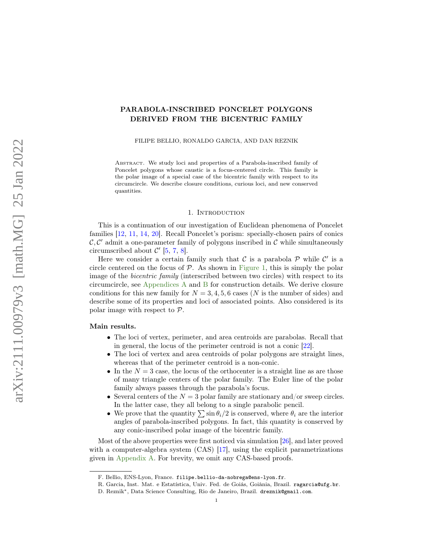# <span id="page-0-0"></span>PARABOLA-INSCRIBED PONCELET POLYGONS DERIVED FROM THE BICENTRIC FAMILY

FILIPE BELLIO, RONALDO GARCIA, AND DAN REZNIK

Abstract. We study loci and properties of a Parabola-inscribed family of Poncelet polygons whose caustic is a focus-centered circle. This family is the polar image of a special case of the bicentric family with respect to its circumcircle. We describe closure conditions, curious loci, and new conserved quantities.

#### 1. INTRODUCTION

This is a continuation of our investigation of Euclidean phenomena of Poncelet families [\[12,](#page-19-0) [11,](#page-19-1) [14,](#page-19-2) [20\]](#page-19-3). Recall Poncelet's porism: specially-chosen pairs of conics  $\mathcal{C}, \mathcal{C}'$  admit a one-parameter family of polygons inscribed in  $\mathcal{C}$  while simultaneously circumscribed about  $\mathcal{C}'$  [\[5,](#page-19-4) [7,](#page-19-5) [8\]](#page-19-6).

Here we consider a certain family such that  $\mathcal C$  is a parabola  $\mathcal P$  while  $\mathcal C'$  is a circle centered on the focus of  $P$ . As shown in [Figure 1,](#page-1-0) this is simply the polar image of the bicentric family (interscribed between two circles) with respect to its circumcircle, see [Appendices A](#page-16-0) and [B](#page-17-0) for construction details. We derive closure conditions for this new family for  $N = 3, 4, 5, 6$  cases (N is the number of sides) and describe some of its properties and loci of associated points. Also considered is its polar image with respect to P.

## Main results.

- The loci of vertex, perimeter, and area centroids are parabolas. Recall that in general, the locus of the perimeter centroid is not a conic [\[22\]](#page-19-7).
- The loci of vertex and area centroids of polar polygons are straight lines, whereas that of the perimeter centroid is a non-conic.
- In the  $N = 3$  case, the locus of the orthocenter is a straight line as are those of many triangle centers of the polar family. The Euler line of the polar family always passes through the parabola's focus.
- Several centers of the  $N = 3$  polar family are stationary and/or sweep circles. In the latter case, they all belong to a single parabolic pencil.
- We prove that the quantity  $\sum \sin \theta_i/2$  is conserved, where  $\theta_i$  are the interior angles of parabola-inscribed polygons. In fact, this quantity is conserved by any conic-inscribed polar image of the bicentric family.

Most of the above properties were first noticed via simulation [\[26\]](#page-19-8), and later proved with a computer-algebra system (CAS) [\[17\]](#page-19-9), using the explicit parametrizations given in [Appendix A.](#page-16-0) For brevity, we omit any CAS-based proofs.

F. Bellio, ENS-Lyon, France. filipe.bellio-da-nobrega@ens-lyon.fr.

R. Garcia, Inst. Mat. e Estatística, Univ. Fed. de Goiás, Goiânia, Brazil. ragarcia@ufg.br.

D. Reznik∗, Data Science Consulting, Rio de Janeiro, Brazil. dreznik@gmail.com.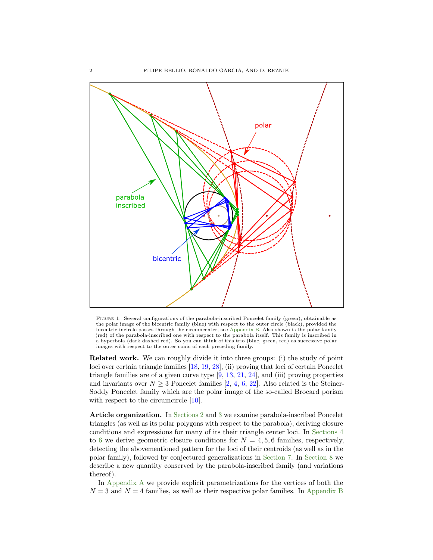<span id="page-1-1"></span><span id="page-1-0"></span>

Figure 1. Several configurations of the parabola-inscribed Poncelet family (green), obtainable as the polar image of the bicentric family (blue) with respect to the outer circle (black), provided the bicentric incircle passes through the circumcenter, see [Appendix B.](#page-17-0) Also shown is the polar family (red) of the parabola-inscribed one with respect to the parabola itself. This family is inscribed in a hyperbola (dark dashed red). So you can think of this trio (blue, green, red) as successive polar images with respect to the outer conic of each preceding family.

Related work. We can roughly divide it into three groups: (i) the study of point loci over certain triangle families [\[18,](#page-19-10) [19,](#page-19-11) [28\]](#page-19-12), (ii) proving that loci of certain Poncelet triangle families are of a given curve type [\[9,](#page-19-13) [13,](#page-19-14) [21,](#page-19-15) [24\]](#page-19-16), and (iii) proving properties and invariants over  $N \geq 3$  Poncelet families [\[2,](#page-18-0) [4,](#page-18-1) [6,](#page-19-17) [22\]](#page-19-7). Also related is the Steiner-Soddy Poncelet family which are the polar image of the so-called Brocard porism with respect to the circumcircle  $[10]$ .

Article organization. In [Sections 2](#page-2-0) and [3](#page-4-0) we examine parabola-inscribed Poncelet triangles (as well as its polar polygons with respect to the parabola), deriving closure conditions and expressions for many of its their triangle center loci. In [Sections 4](#page-9-0) to [6](#page-13-0) we derive geometric closure conditions for  $N = 4, 5, 6$  families, respectively, detecting the abovementioned pattern for the loci of their centroids (as well as in the polar family), followed by conjectured generalizations in [Section 7.](#page-13-1) In [Section 8](#page-14-0) we describe a new quantity conserved by the parabola-inscribed family (and variations thereof).

In [Appendix A](#page-16-0) we provide explicit parametrizations for the vertices of both the  $N = 3$  and  $N = 4$  families, as well as their respective polar families. In [Appendix B](#page-17-0)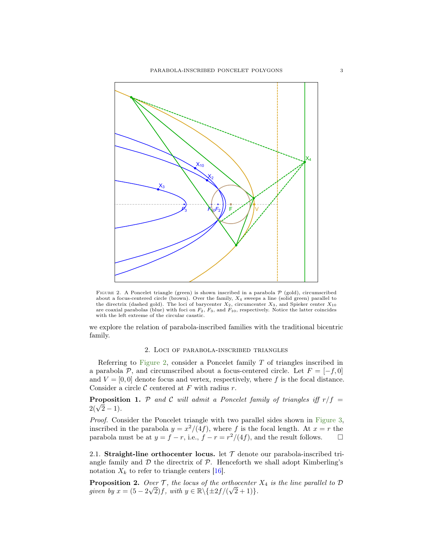<span id="page-2-4"></span><span id="page-2-1"></span>

FIGURE 2. A Poncelet triangle (green) is shown inscribed in a parabola  $P$  (gold), circumscribed about a focus-centered circle (brown). Over the family,  $X_4$  sweeps a line (solid green) parallel to the directrix (dashed gold). The loci of barycenter  $X_2$ , circumcenter  $X_3$ , and Spieker center  $X_{10}$  are coaxial parabolas (blue) with foci on  $F_2$ ,  $F_3$ , and  $F_{10}$ , respectively. Notice the latter coincides with the left extreme of the circular caustic.

we explore the relation of parabola-inscribed families with the traditional bicentric family.

### 2. Loci of parabola-inscribed triangles

<span id="page-2-0"></span>Referring to [Figure 2,](#page-2-1) consider a Poncelet family  $T$  of triangles inscribed in a parabola P, and circumscribed about a focus-centered circle. Let  $F = [-f, 0]$ and  $V = [0, 0]$  denote focus and vertex, respectively, where f is the focal distance. Consider a circle  $\mathcal C$  centered at F with radius r.

<span id="page-2-2"></span>**Proposition 1.** P and C will admit a Poncelet family of triangles iff  $r/f =$ Propositi $2(\sqrt{2}-1)$ .

Proof. Consider the Poncelet triangle with two parallel sides shown in [Figure 3,](#page-3-0) inscribed in the parabola  $y = x^2/(4f)$ , where f is the focal length. At  $x = r$  the parabola must be at  $y = f - r$ , i.e.,  $f - r = \frac{r^2}{4f}$ , and the result follows.  $\Box$ 

2.1. Straight-line orthocenter locus. let  $T$  denote our parabola-inscribed triangle family and  $D$  the directrix of  $P$ . Henceforth we shall adopt Kimberling's notation  $X_k$  to refer to triangle centers [\[16\]](#page-19-19).

<span id="page-2-3"></span>**Proposition 2.** Over  $\mathcal{T}$ , the locus of the orthocenter  $X_4$  is the line parallel to  $\mathcal{D}$ given by  $x = (5 - 2)$ *ver I*, the locus of the orth  $\sqrt{2}$  f, with  $y \in \mathbb{R} \setminus \{\pm 2f/(\sqrt{2} \}$  $2+1)$ .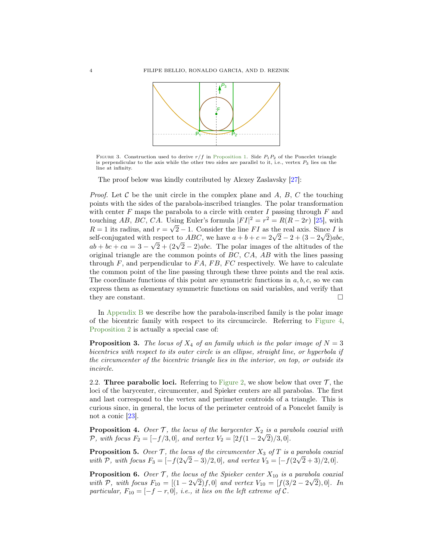<span id="page-3-1"></span><span id="page-3-0"></span>

FIGURE 3. Construction used to derive  $r/f$  in [Proposition 1.](#page-2-2) Side  $P_1P_2$  of the Poncelet triangle is perpendicular to the axis while the other two sides are parallel to it, i.e., vertex  $P_3$  lies on the line at infinity.

The proof below was kindly contributed by Alexey Zaslavsky [\[27\]](#page-19-20):

*Proof.* Let C be the unit circle in the complex plane and  $A, B, C$  the touching points with the sides of the parabola-inscribed triangles. The polar transformation with center  $F$  maps the parabola to a circle with center  $I$  passing through  $F$  and touching AB, BC, CA. Using Euler's formula  $|FI|^2 = r^2 = R(R - 2r)$  [\[25\]](#page-19-21), with  $R = 1$  its radius, and  $r = \sqrt{2} - 1$ . Consider the line FI as the real axis. Since I is  $R = 1$  its radius, and  $r = \sqrt{2} - 1$ . Consider the line  $F1$  as the real axis. Since I is<br>self-conjugated with respect to *ABC*, we have  $a + b + c = 2\sqrt{2} - 2 + (3 - 2\sqrt{2})abc$ , sen-conjugated with respect to ABC, we have  $a + b + c = 2\sqrt{2} - 2 + (\sqrt{2} - 2)abc$ .<br>  $ab + bc + ca = 3 - \sqrt{2} + (2\sqrt{2} - 2)abc$ . The polar images of the altitudes of the original triangle are the common points of  $BC, CA, AB$  with the lines passing through  $F$ , and perpendicular to  $FA$ ,  $FB$ ,  $FC$  respectively. We have to calculate the common point of the line passing through these three points and the real axis. The coordinate functions of this point are symmetric functions in  $a, b, c$ , so we can express them as elementary symmetric functions on said variables, and verify that they are constant.  $\Box$ 

In [Appendix B](#page-17-0) we describe how the parabola-inscribed family is the polar image of the bicentric family with respect to its circumcircle. Referring to [Figure 4,](#page-4-1) [Proposition 2](#page-2-3) is actually a special case of:

**Proposition 3.** The locus of  $X_4$  of an family which is the polar image of  $N = 3$ bicentrics with respect to its outer circle is an ellipse, straight line, or hyperbola if the circumcenter of the bicentric triangle lies in the interior, on top, or outside its incircle.

2.2. Three parabolic loci. Referring to [Figure 2,](#page-2-1) we show below that over  $\mathcal{T}$ , the loci of the barycenter, circumcenter, and Spieker centers are all parabolas. The first and last correspond to the vertex and perimeter centroids of a triangle. This is curious since, in general, the locus of the perimeter centroid of a Poncelet family is not a conic [\[23\]](#page-19-22).

**Proposition 4.** Over  $\mathcal{T}$ , the locus of the barycenter  $X_2$  is a parabola coaxial with  $P$ , with focus  $F_2 = [-f/3, 0]$ , and vertex  $V_2 = [2f(1 - 2\sqrt{2})/3, 0]$ .

**Proposition 5.** Over  $\mathcal{T}$ , the locus of the circumcenter  $X_3$  of  $T$  is a parabola coaxial **Proposition 5.** Over f; the locus of the circumcenter  $X_3$  of I is a parabola coality with  $P$ , with focus  $F_3 = [-f(2\sqrt{2}-3)/2, 0]$ , and vertex  $V_3 = [-f(2\sqrt{2}+3)/2, 0]$ .

**Proposition 6.** Over  $\mathcal{T}$ , the locus of the Spieker center  $X_{10}$  is a parabola coaxial with P, with focus  $F_{10} = [(1 - 2\sqrt{2})f, 0]$  and vertex  $V_{10} = [f(3/2 - 2\sqrt{2}), 0]$ . In particular,  $F_{10} = [-f - r, 0]$ , i.e., it lies on the left extreme of C.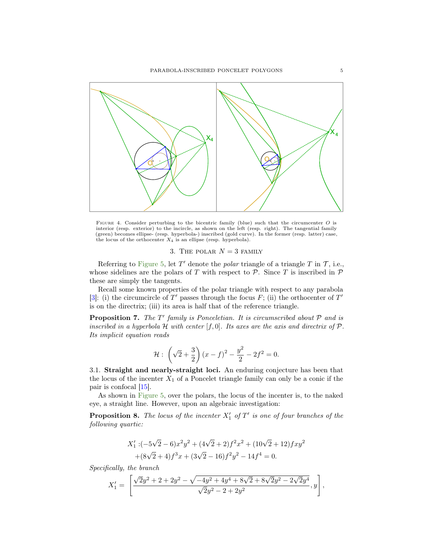<span id="page-4-2"></span><span id="page-4-1"></span>

Figure 4. Consider perturbing to the bicentric family (blue) such that the circumcenter O is interior (resp. exterior) to the incircle, as shown on the left (resp. right). The tangential family (green) becomes ellipse- (resp. hyperbola-) inscribed (gold curve). In the former (resp. latter) case, the locus of the orthocenter  $X_4$  is an ellipse (resp. hyperbola).

3. THE POLAR  $N = 3$  FAMILY

<span id="page-4-0"></span>Referring to [Figure 5,](#page-5-0) let  $T'$  denote the *polar* triangle of a triangle  $T$  in  $\mathcal{T}$ , i.e., whose sidelines are the polars of T with respect to  $P$ . Since T is inscribed in  $P$ these are simply the tangents.

Recall some known properties of the polar triangle with respect to any parabola [\[3\]](#page-18-2): (i) the circumcircle of T' passes through the focus F; (ii) the orthocenter of T' is on the directrix; (iii) its area is half that of the reference triangle.

**Proposition 7.** The  $T'$  family is Ponceletian. It is circumscribed about  $P$  and is inscribed in a hyperbola  $H$  with center  $[f, 0]$ . Its axes are the axis and directrix of  $P$ . Its implicit equation reads

$$
\mathcal{H}: \left(\sqrt{2} + \frac{3}{2}\right) (x - f)^2 - \frac{y^2}{2} - 2f^2 = 0.
$$

3.1. Straight and nearly-straight loci. An enduring conjecture has been that the locus of the incenter  $X_1$  of a Poncelet triangle family can only be a conic if the pair is confocal [\[15\]](#page-19-23).

As shown in [Figure 5,](#page-5-0) over the polars, the locus of the incenter is, to the naked eye, a straight line. However, upon an algebraic investigation:

**Proposition 8.** The locus of the incenter  $X'_1$  of  $T'$  is one of four branches of the following quartic:

$$
X'_1: (-5\sqrt{2} - 6)x^2y^2 + (4\sqrt{2} + 2)f^2x^2 + (10\sqrt{2} + 12)fxy^2
$$
  
 
$$
+ (8\sqrt{2} + 4)f^3x + (3\sqrt{2} - 16)f^2y^2 - 14f^4 = 0.
$$

Specifically, the branch

$$
X'_1 = \left[ \frac{\sqrt{2}y^2 + 2 + 2y^2 - \sqrt{-4y^2 + 4y^4 + 8\sqrt{2} + 8\sqrt{2}y^2 - 2\sqrt{2}y^4}}{\sqrt{2}y^2 - 2 + 2y^2}, y \right],
$$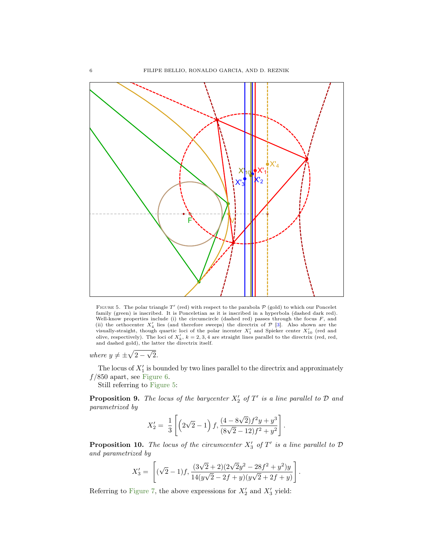<span id="page-5-1"></span><span id="page-5-0"></span>

FIGURE 5. The polar triangle T' (red) with respect to the parabola  $P$  (gold) to which our Poncelet family (green) is inscribed. It is Ponceletian as it is inscribed in a hyperbola (dashed dark red). Well-know properties include (i) the circumcircle (dashed red) passes through the focus F, and<br>(ii) the orthocenter  $X'_4$  lies (and therefore sweeps) the directrix of  $P$  [\[3\]](#page-18-2). Also shown are the<br>visually-straight, though and dashed gold), the latter the directrix itself.

where  $y \neq \pm \sqrt{2} -$ √ 2.

The locus of  $X'_1$  is bounded by two lines parallel to the directrix and approximately  $f/850$  apart, see [Figure 6.](#page-6-0)

Still referring to [Figure 5:](#page-5-0)

**Proposition 9.** The locus of the barycenter  $X'_2$  of  $T'$  is a line parallel to  $D$  and parametrized by

$$
X_2' = \frac{1}{3} \left[ \left( 2\sqrt{2} - 1 \right) f, \frac{(4 - 8\sqrt{2}) f^2 y + y^3}{(8\sqrt{2} - 12) f^2 + y^2} \right].
$$

**Proposition 10.** The locus of the circumcenter  $X'_3$  of  $T'$  is a line parallel to  $D$ and parametrized by

$$
X'_3 = \left[ (\sqrt{2} - 1)f, \frac{(3\sqrt{2} + 2)(2\sqrt{2}y^2 - 28f^2 + y^2)y}{14(y\sqrt{2} - 2f + y)(y\sqrt{2} + 2f + y)} \right].
$$

Referring to [Figure 7,](#page-7-0) the above expressions for  $X'_2$  and  $X'_3$  yield: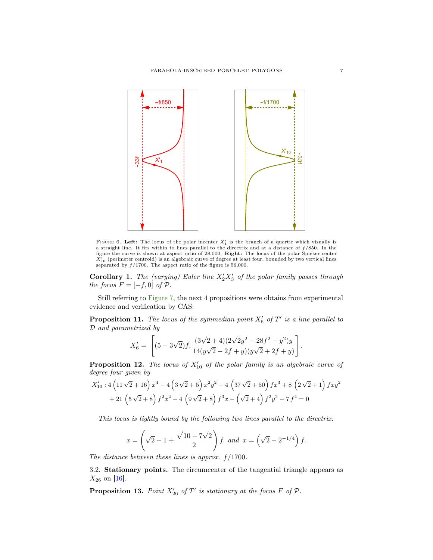<span id="page-6-1"></span><span id="page-6-0"></span>

FIGURE 6. Left: The locus of the polar incenter  $X'_1$  is the branch of a quartic which visually is a straight line. It fits within to lines parallel to the directrix and at a distance of f/850. In the figure the curve is shown at aspect ratio of 28,000. Right: The locus of the polar Spieker center  $\bar{X_{10}}$  (perimeter centroid) is an algebraic curve of degree at least four, bounded by two vertical lines separated by  $f/1700$ . The aspect ratio of the figure is 56,000.

**Corollary 1.** The (varying) Euler line  $X_2'X_3'$  of the polar family passes through the focus  $F = [-f, 0]$  of  ${\mathcal P}.$ 

Still referring to [Figure 7,](#page-7-0) the next 4 propositions were obtains from experimental evidence and verification by CAS:

**Proposition 11.** The locus of the symmedian point  $X'_6$  of  $T'$  is a line parallel to D and parametrized by

$$
X'_6 = \left[ (5 - 3\sqrt{2})f, \frac{(3\sqrt{2} + 4)(2\sqrt{2}y^2 - 28f^2 + y^2)y}{14(y\sqrt{2} - 2f + y)(y\sqrt{2} + 2f + y)} \right].
$$

**Proposition 12.** The locus of  $X'_{10}$  of the polar family is an algebraic curve of degree four given by

$$
X'_{10}:4\left(11\sqrt{2}+16\right)x^4-4\left(3\sqrt{2}+5\right)x^2y^2-4\left(37\sqrt{2}+50\right)fx^3+8\left(2\sqrt{2}+1\right)fxy^2
$$
  
+21\left(5\sqrt{2}+8\right)f^2x^2-4\left(9\sqrt{2}+8\right)f^3x-\left(\sqrt{2}+4\right)f^2y^2+7f^4=0

This locus is tightly bound by the following two lines parallel to the directrix:

$$
x = \left(\sqrt{2} - 1 + \frac{\sqrt{10 - 7\sqrt{2}}}{2}\right)f \text{ and } x = \left(\sqrt{2} - 2^{-1/4}\right)f.
$$

The distance between these lines is approx.  $f/1700$ .

3.2. Stationary points. The circumcenter of the tangential triangle appears as  $X_{26}$  on [\[16\]](#page-19-19).

**Proposition 13.** Point  $X'_{26}$  of  $T'$  is stationary at the focus  $F$  of  $\mathcal{P}$ .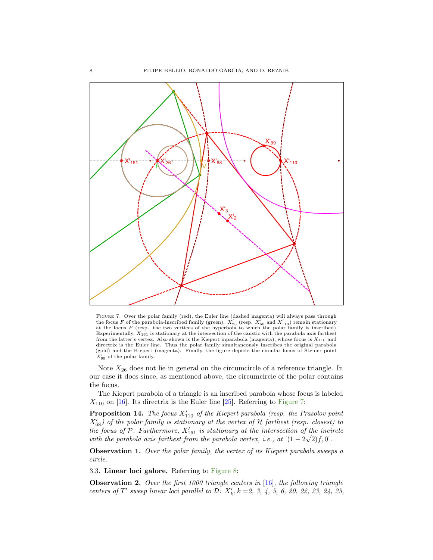<span id="page-7-1"></span><span id="page-7-0"></span>

Figure 7. Over the polar family (red), the Euler line (dashed magenta) will always pass through the focus F of the parabola-inscribed family (green).  $X'_{26}$  (resp.  $X'_{68}$  and  $X'_{110}$ ) remain stationary at the focus  $F$  (resp. the two vertices of the hyperbola to which the polar family is inscribed). Experimentally,  $X_{161}$  is stationary at the intersection of the caustic with the parabola axis farthest from the latter's vertex. Also shown is the Kiepert inparabola (magenta), whose focus is  $X_{110}$  and directrix is the Euler line. Thus the polar family simultaneously inscribes the original parabola (gold) and the Kiepert (magenta). Finally, the figure depicts the circular locus of Steiner point  $X'_{99}$  of the polar family.

Note  $X_{26}$  does not lie in general on the circumcircle of a reference triangle. In our case it does since, as mentioned above, the circumcircle of the polar contains the focus.

The Kiepert parabola of a triangle is an inscribed parabola whose focus is labeled  $X_{110}$  on [\[16\]](#page-19-19). Its directrix is the Euler line [\[25\]](#page-19-21). Referring to [Figure 7:](#page-7-0)

**Proposition 14.** The focus  $X'_{110}$  of the Kiepert parabola (resp. the Prasolov point  $X'_{68}$ ) of the polar family is stationary at the vertex of H farthest (resp. closest) to the focus of P. Furthermore,  $X'_{161}$  is stationary at the intersection of the incircle with the parabola axis farthest from the parabola vertex, i.e., at  $[(1 - 2\sqrt{2})f, 0].$ 

**Observation 1.** Over the polar family, the vertex of its Kiepert parabola sweeps a circle.

3.3. Linear loci galore. Referring to [Figure 8:](#page-8-0)

**Observation 2.** Over the first 1000 triangle centers in  $[16]$ , the following triangle centers of  $T'$  sweep linear loci parallel to  $D: X'_{k}$ ,  $k = 2, 3, 4, 5, 6, 20, 22, 23, 24, 25,$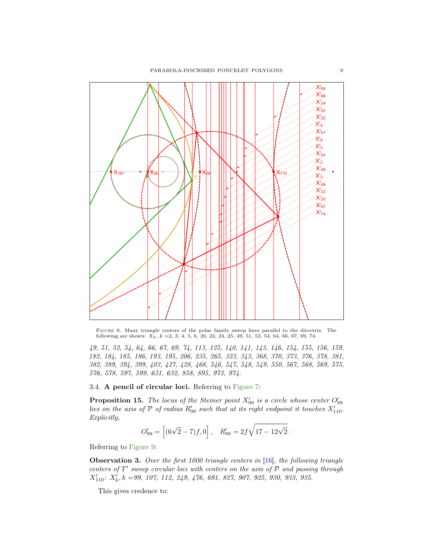<span id="page-8-1"></span><span id="page-8-0"></span>

Figure 8. Many triangle centers of the polar family sweep lines parallel to the directrix. The following are shown:  $X_k$ ,  $k = 2, 3, 4, 5, 6, 20, 22, 24, 25, 49, 51, 52, 54, 64, 66, 67, 69, 74.$ 

49, 51, 52, 54, 64, 66, 67, 69, 74, 113, 125, 140, 141, 143, 146, 154, 155, 156, 159, 182, 184, 185, 186, 193, 195, 206, 235, 265, 323, 343, 368, 370, 373, 376, 378, 381, 382, 389, 394, 399, 403, 427, 428, 468, 546, 547, 548, 549, 550, 567, 568, 569, 575, 576, 578, 597, 599, 631, 632, 858, 895, 973, 974.

3.4. A pencil of circular loci. Referring to [Figure 7:](#page-7-0)

**Proposition 15.** The locus of the Steiner point  $X'_{99}$  is a circle whose center  $O'_{99}$ lies on the axis of  $P$  of radius  $R'_{99}$  such that at its right endpoint it touches  $X'_{110}$ . Explicitly,

$$
O'_{99} = [(6\sqrt{2} - 7)f, 0], \quad R'_{99} = 2f\sqrt{17 - 12\sqrt{2}}.
$$

Referring to [Figure 9:](#page-9-1)

**Observation 3.** Over the first  $1000$  triangle centers in [\[16\]](#page-19-19), the following triangle centers of  $T'$  sweep circular loci with centers on the axis of  $P$  and passing through  $X'_{110}$ :  $X'_k$ ,  $k = 99, 107, 112, 249, 476, 691, 827, 907, 925, 930, 933, 935.$ 

This gives credence to: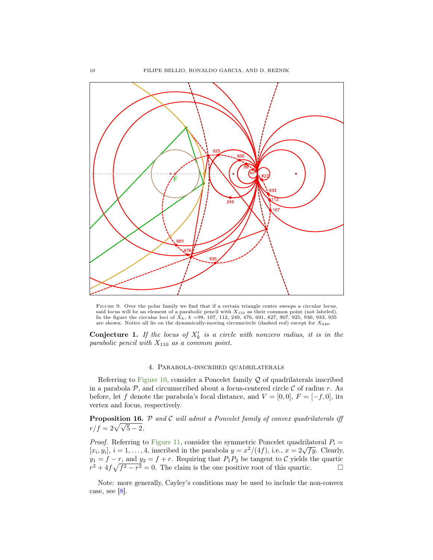<span id="page-9-3"></span><span id="page-9-1"></span>

Figure 9. Over the polar family we find that if a certain triangle center sweeps a circular locus, said locus will be an element of a parabolic pencil with  $X_{110}$  as their common point (not labeled).<br>In the figure the circular loci of  $X_k$ ,  $k = 99$ , 107, 112, 249, 476, 691, 827, 907, 925, 930, 933, 935 are shown. Notice all lie on the dynamically-moving circumcircle (dashed red) except for  $X_{249}$ .

**Conjecture 1.** If the locus of  $X'_k$  is a circle with nonzero radius, it is in the parabolic pencil with  $X_{110}$  as a common point.

### 4. Parabola-inscribed quadrilaterals

<span id="page-9-0"></span>Referring to [Figure 10,](#page-10-0) consider a Poncelet family  $Q$  of quadrilaterals inscribed in a parabola  $P$ , and circumscribed about a focus-centered circle  $C$  of radius r. As before, let f denote the parabola's focal distance, and  $V = [0, 0], F = [-f, 0]$ , its vertex and focus, respectively.

<span id="page-9-2"></span>**Proposition 16.**  $P$  and  $C$  will admit a Poncelet family of convex quadrilaterals iff r/f =  $2\sqrt{\sqrt{5} - 2}$ .

*Proof.* Referring to [Figure 11,](#page-10-1) consider the symmetric Poncelet quadrilateral  $P_i =$ *Froof.* Referring to Figure 11, consider the symmetric Poncelet quadrilateral  $F_i \equiv [x_i, y_i], i = 1, ..., 4$ , inscribed in the parabola  $y = x^2/(4f)$ , i.e.,  $x = 2\sqrt{fy}$ . Clearly,  $y_1 = f - r$ , and  $y_2 = f + r$ . Requiring that  $P_1P_2$  be tangent to C yields the quartic  $r^2 + 4f\sqrt{f^2 - r^2} = 0$ . The claim is the one positive root of this quartic.

Note: more generally, Cayley's conditions may be used to include the non-convex case, see [\[8\]](#page-19-6).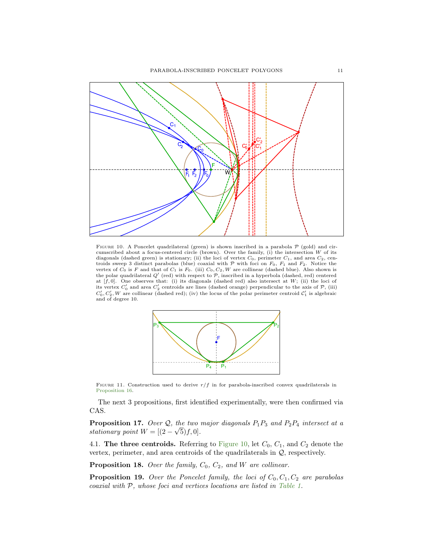<span id="page-10-0"></span>

FIGURE 10. A Poncelet quadrilateral (green) is shown inscribed in a parabola  $P$  (gold) and cir-<br>cumscribed about a focus-centered circle (brown). Over the family, (i) the intersection W of its diagonals (dashed green) is stationary; (ii) the loci of vertex  $C_0$ , perimeter  $C_1$ , and area  $C_2$ , centroids sweep 3 distinct parabolas (blue) coaxial with  $P$  with foci on  $F_0$ ,  $F_1$  and  $F_2$ . Notice the vertex of  $C_0$  is  $F$  and that of  $C_1$  is  $F_0$ . (iii)  $C_0$ ,  $C_2$ ,  $W$  are collinear (dashed blue). Also shown the polar quadrilateral  $Q'$  (red) with respect to  $P$ , inscribed in a hyperbola (dashed, red) centered at  $[f, 0]$ . One observes that: (i) its diagonals (dashed red) also intersect at  $W$ ; (ii) the loci of its vertex  $C'_0$  and area  $C'_2$  centroids are lines (dashed orange) perpendicular to the axis of  $P$ , (iii)  $C'_0, C'_2, W$  are collinear (dashed red); (iv) the locus of the polar perimeter centroid  $C'_1$  is algebraic and of degree 10.

<span id="page-10-1"></span>

FIGURE 11. Construction used to derive  $r/f$  in for parabola-inscribed convex quadrilaterals in [Proposition 16.](#page-9-2)

The next 3 propositions, first identified experimentally, were then confirmed via CAS.

<span id="page-10-2"></span>**Proposition 17.** Over  $Q$ , the two major diagonals  $P_1P_3$  and  $P_2P_4$  intersect at a stationary point  $W = [(2 \frac{u}{\lambda}$  $[5) f, 0].$ 

4.1. The three centroids. Referring to [Figure 10,](#page-10-0) let  $C_0$ ,  $C_1$ , and  $C_2$  denote the vertex, perimeter, and area centroids of the quadrilaterals in Q, respectively.

**Proposition 18.** Over the family,  $C_0$ ,  $C_2$ , and W are collinear.

**Proposition 19.** Over the Poncelet family, the loci of  $C_0, C_1, C_2$  are parabolas coaxial with P, whose foci and vertices locations are listed in [Table 1.](#page-11-0)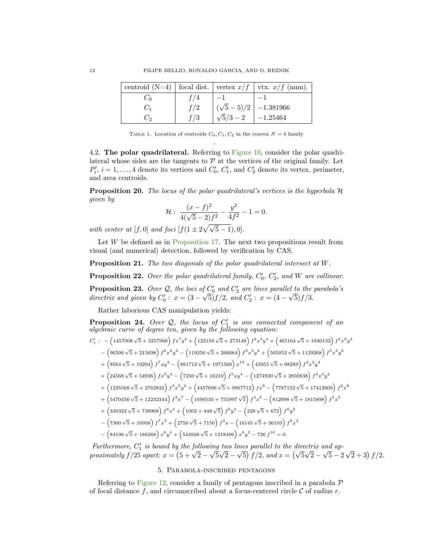<span id="page-11-0"></span>

|       |     |                                       | centroid (N=4)   focal dist.   vertex $x/f$   vtx. $x/f$ (num). |
|-------|-----|---------------------------------------|-----------------------------------------------------------------|
| ∪ò    | f/4 | $-1$                                  |                                                                 |
| $C_1$ | f/2 | $\left(\sqrt{5}-5\right)/2$ -1.381966 |                                                                 |
| Ć۰    | f/3 | $\sqrt{5}/3 - 2$ -1.25464             |                                                                 |

TABLE 1. Location of centroids  $C_0, C_1, C_2$  in the convex  $N = 4$  family .

4.2. The polar quadrilateral. Referring to [Figure 10,](#page-10-0) consider the polar quadrilateral whose sides are the tangents to  $P$  at the vertices of the original family. Let  $P'_i$ ,  $i = 1, ..., 4$  denote its vertices and  $C'_0$ ,  $C'_1$ , and  $C'_2$  denote its vertex, perimeter, and area centroids.

Proposition 20. The locus of the polar quadrilateral's vertices is the hyperbola H given by

$$
\mathcal{H}: \frac{(x-f)^2}{4(\sqrt{5}-2)f^2} - \frac{y^2}{4f^2} - 1 = 0.
$$

with center at [f, 0] and foci  $[f(1 \pm 2\sqrt{\sqrt{5}-1}),0].$ 

Let  $W$  be defined as in [Proposition 17.](#page-10-2) The next two propositions result from visual (and numerical) detection, followed by verification by CAS.

Proposition 21. The two diagonals of the polar quadrilateral intersect at W.

**Proposition 22.** Over the polar quadrilateral family,  $C'_0$ ,  $C'_2$ , and W are collinear.

**Proposition 23.** Over Q, the loci of  $C'_0$  and  $C'_2$  are lines parallel to the parabola's directrix and given by  $C'_0$ :  $x = (3 - \sqrt{5})f/2$ , and  $C'_2$ :  $x = (4 - \sqrt{5})f/3$ .

Rather laborious CAS manipulation yields:

**Proposition 24.** Over  $Q$ , the locus of  $C'_1$  is one connected component of an algebraic curve of degree ten, given by the following equation:

 $C_1'$ :  $\left(1457008\sqrt{5} + 3257968\right) f x^7 y^2 + \left(122156\sqrt{5} + 273148\right) f^2 x^4 y^4 + \left(465164\sqrt{5} + 1040132\right) f^2 x^6 y^2$ 

$$
-\left(96506\sqrt{5}+215698\right)f^{6}x^{2}y^{2}-\left(119256\sqrt{5}+266664\right)f^{3}x^{3}y^{4}+\left(505052\sqrt{5}+1129268\right)f^{5}x^{3}y^{2}
$$

- $+\left(8564\sqrt{5}+19204\right)f^7xy^2-\left(881712\sqrt{5}+1971568\right)x^{10}+\left(43955\sqrt{5}+98289\right)f^4x^2y^4$
- $+\left(24568\sqrt{5}+54936\right)fx^5y^4-\left(7250\sqrt{5}+16210\right)f^5xy^4-\left(1274930\sqrt{5}+2850838\right)f^4x^4y^2$
- $+\left(1235568\sqrt{5}+2762832\right)f^3x^5y^2+\left(4457696\sqrt{5}+9967712\right)fx^9-\left(7787152\sqrt{5}+17412608\right)f^2x^8$
- $+\left(5470456\sqrt{5}+12232344\right)f^3x^7-\left(1690535+755997\sqrt{5}\right)f^4x^6-\left(812098\sqrt{5}+1815898\right)f^5x^5$
- $+\left(330322\sqrt{5}+738968\right)f^6x^4+\left(1002+448\sqrt{5}\right)f^6y^4-\left(228\sqrt{5}+672\right)f^8y^2$
- $-\left(7300\sqrt{5}+16956\right)f^7x^3+\left(2750\sqrt{5}+7150\right)f^9x-\left(16145\sqrt{5}+36103\right)f^8x^2$
- $-\left(84196\sqrt{5}+188268\right)x^6y^4+\left(544928\sqrt{5}+1218496\right)x^8y^2-726f^{10}=0.$

Furthermore,  $C'_1$  is bound by the following two lines parallel to the directrix and ap-Furthermore,  $C_1$  is bound by the following two times parallel to the directrix and approximately  $f/25$  apart:  $x = (5 + \sqrt{2} - \sqrt{5}\sqrt{2} - \sqrt{5}) f/2$ , and  $x = (\sqrt{5}\sqrt{2} - \sqrt{5} - 2)$  $\sqrt{2} + 3$   $f/2$ .

## 5. Parabola-inscribed pentagons

<span id="page-11-1"></span>Referring to [Figure 12,](#page-12-0) consider a family of pentagons inscribed in a parabola  $\mathcal P$ of focal distance f, and circumscribed about a focus-centered circle  $\mathcal C$  of radius r.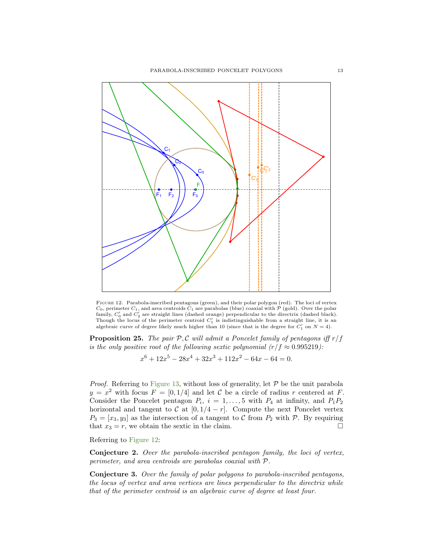<span id="page-12-0"></span>

Figure 12. Parabola-inscribed pentagons (green), and their polar polygon (red). The loci of vertex  $C_0$ , perimeter  $C_1$ , and area centroids  $C_1$  are parabolas (blue) coaxial with  $P$  (gold). Over the polar family,  $C'_0$  and  $C'_2$  are straight lines (dashed orange) perpendicular to the directrix (dashed black). Though the locus of the perimeter centroid  $C'_1$  is indistinguishable from a straight line, it is an algebraic curve of degree likely much higher than 10 (since that is the degree for  $C'_1$  on  $N = 4$ ).

**Proposition 25.** The pair  $P, C$  will admit a Poncelet family of pentagons iff  $r/f$ is the only positive root of the following sextic polynomial  $(r/f \approx 0.995219)$ :

$$
x^{6} + 12x^{5} - 28x^{4} + 32x^{3} + 112x^{2} - 64x - 64 = 0.
$$

*Proof.* Referring to [Figure 13,](#page-13-2) without loss of generality, let  $P$  be the unit parabola  $y = x^2$  with focus  $F = [0, 1/4]$  and let C be a circle of radius r centered at F. Consider the Poncelet pentagon  $P_i$ ,  $i = 1, ..., 5$  with  $P_4$  at infinity, and  $P_1P_2$ horizontal and tangent to  $C$  at  $[0, 1/4 - r]$ . Compute the next Poncelet vertex  $P_3 = [x_3, y_3]$  as the intersection of a tangent to C from  $P_2$  with P. By requiring that  $x_3 = r$ , we obtain the sextic in the claim.

Referring to [Figure 12:](#page-12-0)

Conjecture 2. Over the parabola-inscribed pentagon family, the loci of vertex, perimeter, and area centroids are parabolas coaxial with P.

Conjecture 3. Over the family of polar polygons to parabola-inscribed pentagons, the locus of vertex and area vertices are lines perpendicular to the directrix while that of the perimeter centroid is an algebraic curve of degree at least four.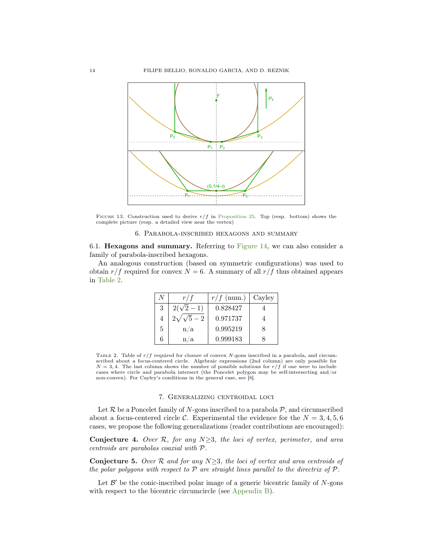<span id="page-13-4"></span><span id="page-13-2"></span>

FIGURE 13. Construction used to derive  $r/f$  in [Proposition 25.](#page-11-1) Top (resp. bottom) shows the complete picture (resp. a detailed view near the vertex)

6. Parabola-inscribed hexagons and summary

<span id="page-13-0"></span>6.1. Hexagons and summary. Referring to [Figure 14,](#page-14-1) we can also consider a family of parabola-inscribed hexagons.

<span id="page-13-3"></span>An analogous construction (based on symmetric configurations) was used to obtain  $r/f$  required for convex  $N = 6$ . A summary of all  $r/f$  thus obtained appears in [Table 2.](#page-13-3)

| Ν | r/f             | $r/f$ (num.) | Cayley |
|---|-----------------|--------------|--------|
| 3 | $2(\sqrt{2}-1)$ | 0.828427     |        |
| 4 | $2\sqrt{5} - 2$ | 0.971737     |        |
| 5 | n/a             | 0.995219     | я      |
| 6 | n/a             | 0.999183     |        |

TABLE 2. Table of  $r/f$  required for closure of convex N-gons inscribed in a parabola, and circumscribed about a focus-centered circle. Algebraic expressions (2nd column) are only possible for  $N = 3, 4$ . The last column shows the number of possible solutions for  $r/f$  if one were to include cases where circle and parabola intersect (the Poncelet polygon may be self-intersecting and/or non-convex). For Cayley's conditions in the general case, see [\[8\]](#page-19-6).

### 7. Generalizing centroidal loci

<span id="page-13-1"></span>Let  $\mathcal R$  be a Poncelet family of N-gons inscribed to a parabola  $\mathcal P$ , and circumscribed about a focus-centered circle C. Experimental the evidence for the  $N = 3, 4, 5, 6$ cases, we propose the following generalizations (reader contributions are encouraged):

Conjecture 4. Over R, for any  $N \geq 3$ , the loci of vertex, perimeter, and area centroids are parabolas coaxial with P.

**Conjecture 5.** Over R and for any  $N \geq 3$ , the loci of vertex and area centroids of the polar polygons with respect to  $P$  are straight lines parallel to the directrix of  $P$ .

Let  $\mathcal{B}'$  be the conic-inscribed polar image of a generic bicentric family of  $N$ -gons with respect to the bicentric circumcircle (see [Appendix B\)](#page-17-0).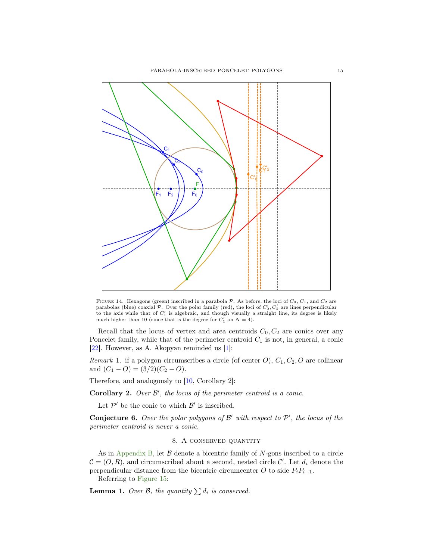<span id="page-14-3"></span><span id="page-14-1"></span>

FIGURE 14. Hexagons (green) inscribed in a parabola  $P$ . As before, the loci of  $C_0$ ,  $C_1$ , and  $C_2$  are parabolas (blue) coaxial  $P$ . Over the polar family (red), the loci of  $C'_0, C'_2$  are lines perpendicular to the axis while that of  $C'_1$  is algebraic, and though visually a straight line, its degree is likely much higher than 10 (since that is the degree for  $C'_1$  on  $N = 4$ ).

Recall that the locus of vertex and area centroids  $C_0, C_2$  are conics over any Poncelet family, while that of the perimeter centroid  $C_1$  is not, in general, a conic [\[22\]](#page-19-7). However, as A. Akopyan reminded us [\[1\]](#page-18-3):

Remark 1. if a polygon circumscribes a circle (of center  $O$ ),  $C_1$ ,  $C_2$ ,  $O$  are collinear and  $(C_1 - O) = (3/2)(C_2 - O)$ .

Therefore, and analogously to [\[10,](#page-19-18) Corollary 2]:

Corollary 2. Over  $\mathcal{B}'$ , the locus of the perimeter centroid is a conic.

Let  $\mathcal{P}'$  be the conic to which  $\mathcal{B}'$  is inscribed.

**Conjecture 6.** Over the polar polygons of  $\mathcal{B}'$  with respect to  $\mathcal{P}'$ , the locus of the perimeter centroid is never a conic.

# 8. A conserved quantity

<span id="page-14-0"></span>As in [Appendix B,](#page-17-0) let  $\beta$  denote a bicentric family of N-gons inscribed to a circle  $\mathcal{C} = (O, R)$ , and circumscribed about a second, nested circle  $\mathcal{C}'$ . Let  $d_i$  denote the perpendicular distance from the bicentric circumcenter O to side  $P_i P_{i+1}$ .

Referring to [Figure 15:](#page-15-0)

<span id="page-14-2"></span>**Lemma 1.** Over B, the quantity  $\sum d_i$  is conserved.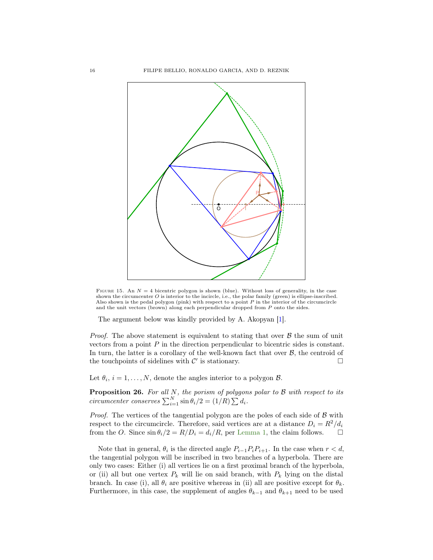<span id="page-15-1"></span><span id="page-15-0"></span>

FIGURE 15. An  $N = 4$  bicentric polygon is shown (blue). Without loss of generality, in the case shown the circumcenter O is interior to the incircle, i.e., the polar family (green) is ellipse-inscribed. Also shown is the pedal polygon (pink) with respect to a point P in the interior of the circumcircle and the unit vectors (brown) along each perpendicular dropped from P onto the sides.

The argument below was kindly provided by A. Akopyan [\[1\]](#page-18-3).

*Proof.* The above statement is equivalent to stating that over  $\beta$  the sum of unit vectors from a point P in the direction perpendicular to bicentric sides is constant. In turn, the latter is a corollary of the well-known fact that over  $B$ , the centroid of the touchpoints of sidelines with  $\mathcal{C}'$  is stationary.

Let  $\theta_i$ ,  $i = 1, ..., N$ , denote the angles interior to a polygon  $\beta$ .

**Proposition 26.** For all N, the porism of polygons polar to  $\beta$  with respect to its circumcenter conserves  $\sum_{i=1}^{N} \sin \theta_i/2 = (1/R) \sum d_i$ .

*Proof.* The vertices of the tangential polygon are the poles of each side of  $B$  with respect to the circumcircle. Therefore, said vertices are at a distance  $D_i = R^2/d_i$ from the O. Since  $\sin \theta_i/2 = R/D_i = d_i/R$ , per [Lemma 1,](#page-14-2) the claim follows.  $\square$ 

Note that in general,  $\theta_i$  is the directed angle  $P_{i-1}P_iP_{i+1}$ . In the case when  $r < d$ , the tangential polygon will be inscribed in two branches of a hyperbola. There are only two cases: Either (i) all vertices lie on a first proximal branch of the hyperbola, or (ii) all but one vertex  $P_k$  will lie on said branch, with  $P_k$  lying on the distal branch. In case (i), all  $\theta_i$  are positive whereas in (ii) all are positive except for  $\theta_k$ . Furthermore, in this case, the supplement of angles  $\theta_{k-1}$  and  $\theta_{k+1}$  need to be used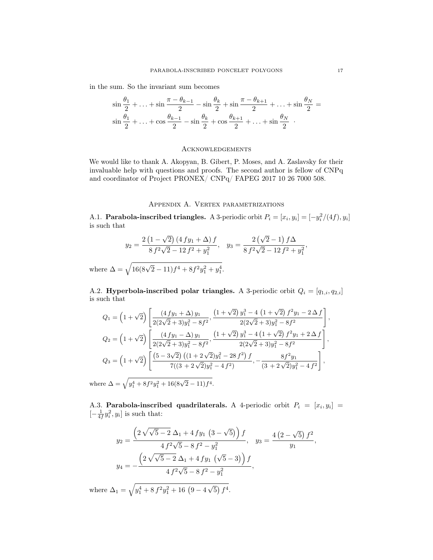in the sum. So the invariant sum becomes

$$
\sin\frac{\theta_1}{2} + \dots + \sin\frac{\pi - \theta_{k-1}}{2} - \sin\frac{\theta_k}{2} + \sin\frac{\pi - \theta_{k+1}}{2} + \dots + \sin\frac{\theta_N}{2} =
$$
  

$$
\sin\frac{\theta_1}{2} + \dots + \cos\frac{\theta_{k-1}}{2} - \sin\frac{\theta_k}{2} + \cos\frac{\theta_{k+1}}{2} + \dots + \sin\frac{\theta_N}{2}
$$
.

#### **ACKNOWLEDGEMENTS**

We would like to thank A. Akopyan, B. Gibert, P. Moses, and A. Zaslavsky for their invaluable help with questions and proofs. The second author is fellow of CNPq and coordinator of Project PRONEX/ CNPq/ FAPEG 2017 10 26 7000 508.

# Appendix A. Vertex parametrizations

<span id="page-16-0"></span>A.1. **Parabola-inscribed triangles.** A 3-periodic orbit  $P_i = [x_i, y_i] = [-y_i^2/(4f), y_i]$ is such that

$$
y_2 = \frac{2(1-\sqrt{2})(4fy_1 + \Delta)f}{8f^2\sqrt{2} - 12f^2 + y_1^2}, \quad y_3 = \frac{2(\sqrt{2}-1)f\Delta}{8f^2\sqrt{2} - 12f^2 + y_1^2},
$$

where  $\Delta = \sqrt{16(8\sqrt{2}-11)f^4 + 8f^2y_1^2 + y_1^4}$ .

A.2. Hyperbola-inscribed polar triangles. A 3-periodic orbit  $Q_i = [q_{1,i}, q_{2,i}]$ is such that

$$
Q_1 = \left(1 + \sqrt{2}\right) \left[ \frac{(4 fy_1 + \Delta) y_1}{2(2\sqrt{2} + 3)y_1^2 - 8f^2}, \frac{\left(1 + \sqrt{2}\right) y_1^3 - 4\left(1 + \sqrt{2}\right) f^2 y_1 - 2\Delta f}{2(2\sqrt{2} + 3)y_1^2 - 8f^2} \right],
$$
  
\n
$$
Q_2 = \left(1 + \sqrt{2}\right) \left[ \frac{(4 fy_1 - \Delta) y_1}{2(2\sqrt{2} + 3)y_1^2 - 8f^2}, \frac{\left(1 + \sqrt{2}\right) y_1^3 - 4\left(1 + \sqrt{2}\right) f^2 y_1 + 2\Delta f}{2(2\sqrt{2} + 3)y_1^2 - 8f^2} \right],
$$
  
\n
$$
Q_3 = \left(1 + \sqrt{2}\right) \left[ \frac{\left(5 - 3\sqrt{2}\right) \left((1 + 2\sqrt{2})y_1^2 - 28f^2\right) f}{7\left((3 + 2\sqrt{2})y_1^2 - 4f^2\right)}, -\frac{8f^2 y_1}{(3 + 2\sqrt{2})y_1^2 - 4f^2} \right],
$$

where  $\Delta = \sqrt{y_1^4 + 8f^2y_1^2 + 16(8\sqrt{2} - 11)f^4}.$ 

A.3. Parabola-inscribed quadrilaterals. A 4-periodic orbit  $P_i = [x_i, y_i] =$  $\left[-\frac{1}{4f}y_i^2, y_i\right]$  is such that:

$$
y_2 = \frac{\left(2\sqrt{\sqrt{5}-2}\,\Delta_1 + 4\,f\,y_1\,\left(3-\sqrt{5}\right)\right)f}{4\,f^2\sqrt{5}-8\,f^2-y_1^2}, \quad y_3 = \frac{4\left(2-\sqrt{5}\right)f^2}{y_1},
$$

$$
y_4 = -\frac{\left(2\sqrt{\sqrt{5}-2}\,\Delta_1 + 4\,f\,y_1\,\left(\sqrt{5}-3\right)\right)f}{4\,f^2\sqrt{5}-8\,f^2-y_1^2},
$$

where  $\Delta_1 = \sqrt{y_1^4 + 8 f^2 y_1^2 + 16 (9 - 4)}$ √  $\overline{5}$ )  $f^4$ .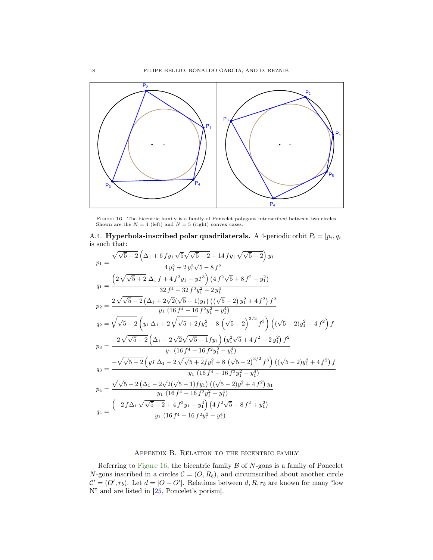<span id="page-17-2"></span><span id="page-17-1"></span>

FIGURE 16. The bicentric family is a family of Poncelet polygons interscribed between two circles.<br>Shown are the  $N = 4$  (left) and  $N = 5$  (right) convex cases.

A.4. Hyperbola-inscribed polar quadrilaterals. A 4-periodic orbit  $P_i = [p_i, q_i]$ is such that:

$$
p_1 = \frac{\sqrt{\sqrt{5}-2} \left(\Delta_1 + 6 f y_1 \sqrt{5} \sqrt{\sqrt{5}-2} + 14 f y_1 \sqrt{\sqrt{5}-2}\right) y_1}{4 y_1^2 + 2 y_1^2 \sqrt{5} - 8 f^2}
$$
  
\n
$$
q_1 = \frac{\left(2 \sqrt{\sqrt{5}+2} \Delta_1 f + 4 f^2 y_1 - y f^3\right) \left(4 f^2 \sqrt{5} + 8 f^2 + y_1^2\right)}{32 f^4 - 32 f^2 y_1^2 - 2 y_1^4}
$$
  
\n
$$
p_2 = \frac{2 \sqrt{\sqrt{5}-2} \left(\Delta_1 + 2 \sqrt{2} (\sqrt{5}-1) y_1\right) \left((\sqrt{5}-2) y_1^2 + 4 f^2\right) f^2}{y_1 \left(16 f^4 - 16 f^2 y_1^2 - y_1^4\right)}
$$
  
\n
$$
q_2 = \sqrt{\sqrt{5}+2} \left(y_1 \Delta_1 + 2 \sqrt{\sqrt{5}+2 f y_1^2 - 8 \left(\sqrt{5}-2\right)^{3/2} f^3\right) \left((\sqrt{5}-2) y_1^2 + 4 f^2\right) f
$$
  
\n
$$
p_3 = \frac{-2 \sqrt{\sqrt{5}-2} \left(\Delta_1 - 2 \sqrt{2} \sqrt{\sqrt{5}-1 f y_1}\right) \left(y_1^2 \sqrt{5} + 4 f^2 - 2 y_1^2\right) f^2}{y_1 \left(16 f^4 - 16 f^2 y_1^2 - y_1^4\right)}
$$
  
\n
$$
q_3 = \frac{-\sqrt{\sqrt{5}+2} \left(y_1 \Delta_1 - 2 \sqrt{\sqrt{5}+2 f y_1^2 + 8 \left(\sqrt{5}-2\right)^{3/2} f^3\right) \left((\sqrt{5}-2) y_1^2 + 4 f^2\right) f}{y_1 \left(16 f^4 - 16 f^2 y_1^2 - y_1^4\right)}
$$
  
\n
$$
p_4 = \frac{\sqrt{\sqrt{5}-2} \left(\Delta_1 - 2 \sqrt{2} (\sqrt{5}-1) f y_1\right) \left((\sqrt{5}-2) y_1^2 + 4 f^2\right) y_1}{y
$$

## Appendix B. Relation to the bicentric family

<span id="page-17-0"></span>Referring to [Figure 16,](#page-17-1) the bicentric family  $\beta$  of N-gons is a family of Poncelet N-gons inscribed in a circles  $\mathcal{C} = (O, R_b)$ , and circumscribed about another circle  $\mathcal{C}' = (O', r_b)$ . Let  $d = |O - O'|$ . Relations between  $d, R, r_b$  are known for many "low N" and are listed in [\[25,](#page-19-21) Poncelet's porism].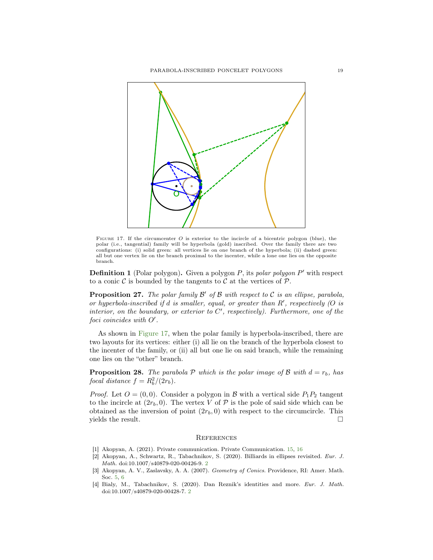<span id="page-18-4"></span>

FIGURE 17. If the circumcenter O is exterior to the incircle of a bicentric polygon (blue), the polar (i.e., tangential) family will be hyperbola (gold) inscribed. Over the family there are two configurations: (i) solid green: all vertices lie on one branch of the hyperbola; (ii) dashed green: all but one vertex lie on the branch proximal to the incenter, while a lone one lies on the opposite branch.

**Definition 1** (Polar polygon). Given a polygon  $P$ , its polar polygon  $P'$  with respect to a conic  $\mathcal C$  is bounded by the tangents to  $\mathcal C$  at the vertices of  $\mathcal P$ .

**Proposition 27.** The polar family  $\mathcal{B}'$  of  $\mathcal{B}$  with respect to  $\mathcal{C}$  is an ellipse, parabola, or hyperbola-inscribed if  $d$  is smaller, equal, or greater than  $R'$ , respectively  $(O \; is$ interior, on the boundary, or exterior to  $C'$ , respectively). Furthermore, one of the  $foci$  coincides with  $O'$ .

As shown in [Figure 17,](#page-18-4) when the polar family is hyperbola-inscribed, there are two layouts for its vertices: either (i) all lie on the branch of the hyperbola closest to the incenter of the family, or (ii) all but one lie on said branch, while the remaining one lies on the "other" branch.

**Proposition 28.** The parabola P which is the polar image of B with  $d = r_b$ , has focal distance  $f = R_b^2/(2r_b)$ .

*Proof.* Let  $O = (0, 0)$ . Consider a polygon in B with a vertical side  $P_1P_2$  tangent to the incircle at  $(2r_b, 0)$ . The vertex V of P is the pole of said side which can be obtained as the inversion of point  $(2r_b, 0)$  with respect to the circumcircle. This yields the result.  $\Box$ 

#### **REFERENCES**

- <span id="page-18-3"></span>[1] Akopyan, A. (2021). Private communication. Private Communication. [15,](#page-14-3) [16](#page-15-1)
- <span id="page-18-0"></span>[2] Akopyan, A., Schwartz, R., Tabachnikov, S. (2020). Billiards in ellipses revisited. Eur. J. Math. doi:10.1007/s40879-020-00426-9. [2](#page-1-1)
- <span id="page-18-2"></span>[3] Akopyan, A. V., Zaslavsky, A. A. (2007). Geometry of Conics. Providence, RI: Amer. Math. Soc. [5,](#page-4-2) [6](#page-5-1)
- <span id="page-18-1"></span>[4] Bialy, M., Tabachnikov, S. (2020). Dan Reznik's identities and more. Eur. J. Math. doi:10.1007/s40879-020-00428-7. [2](#page-1-1)